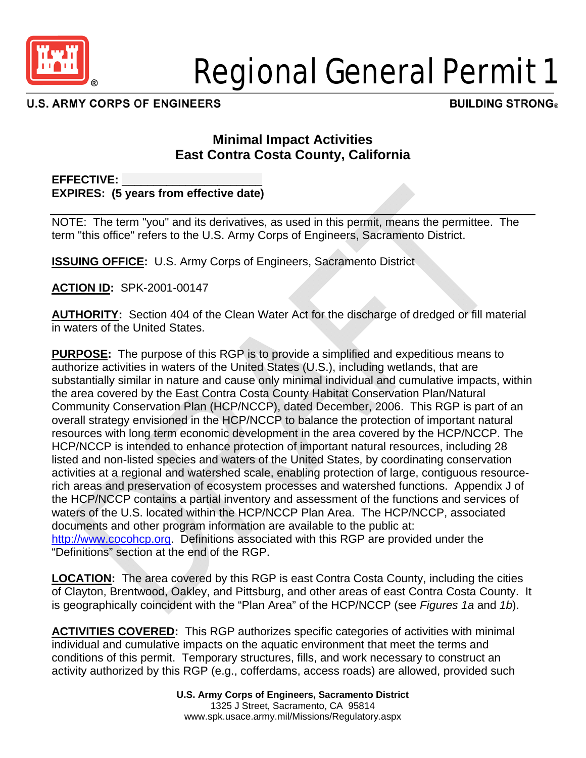

# Regional General Permit 1

**U.S. ARMY CORPS OF ENGINEERS** 

**BUILDING STRONG®** 

# **Minimal Impact Activities East Contra Costa County, California**

**EFFECTIVE:** \_\_\_\_\_\_\_\_\_\_\_\_\_\_\_\_\_\_\_\_\_\_ **EXPIRES: (5 years from effective date)** 

NOTE: The term "you" and its derivatives, as used in this permit, means the permittee. The term "this office" refers to the U.S. Army Corps of Engineers, Sacramento District.

**ISSUING OFFICE:** U.S. Army Corps of Engineers, Sacramento District

**ACTION ID:** SPK-2001-00147

**AUTHORITY:** Section 404 of the Clean Water Act for the discharge of dredged or fill material in waters of the United States.

**PURPOSE:** The purpose of this RGP is to provide a simplified and expeditious means to authorize activities in waters of the United States (U.S.), including wetlands, that are substantially similar in nature and cause only minimal individual and cumulative impacts, within the area covered by the East Contra Costa County Habitat Conservation Plan/Natural Community Conservation Plan (HCP/NCCP), dated December, 2006. This RGP is part of an overall strategy envisioned in the HCP/NCCP to balance the protection of important natural resources with long term economic development in the area covered by the HCP/NCCP. The HCP/NCCP is intended to enhance protection of important natural resources, including 28 listed and non-listed species and waters of the United States, by coordinating conservation activities at a regional and watershed scale, enabling protection of large, contiguous resourcerich areas and preservation of ecosystem processes and watershed functions. Appendix J of the HCP/NCCP contains a partial inventory and assessment of the functions and services of waters of the U.S. located within the HCP/NCCP Plan Area. The HCP/NCCP, associated documents and other program information are available to the public at: http://www.cocohcp.org. Definitions associated with this RGP are provided under the "Definitions" section at the end of the RGP.

**LOCATION:** The area covered by this RGP is east Contra Costa County, including the cities of Clayton, Brentwood, Oakley, and Pittsburg, and other areas of east Contra Costa County. It is geographically coincident with the "Plan Area" of the HCP/NCCP (see *Figures 1a* and *1b*).

**ACTIVITIES COVERED:** This RGP authorizes specific categories of activities with minimal individual and cumulative impacts on the aquatic environment that meet the terms and conditions of this permit. Temporary structures, fills, and work necessary to construct an activity authorized by this RGP (e.g., cofferdams, access roads) are allowed, provided such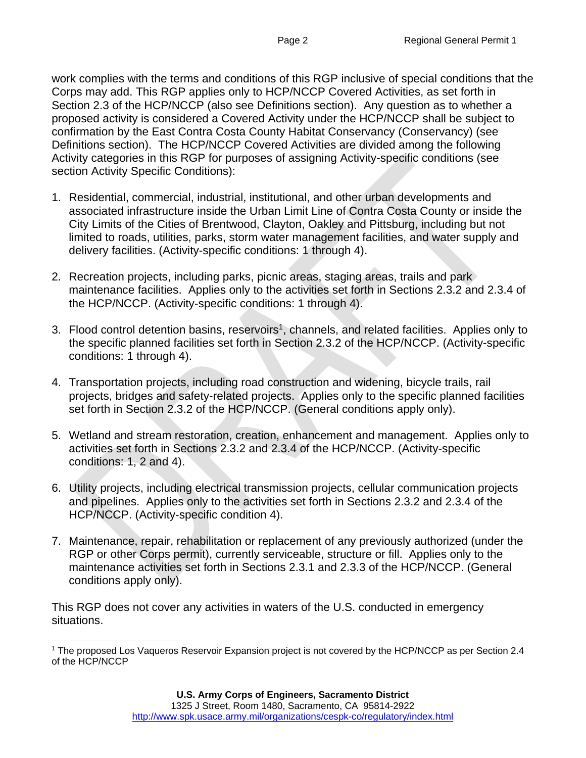work complies with the terms and conditions of this RGP inclusive of special conditions that the Corps may add. This RGP applies only to HCP/NCCP Covered Activities, as set forth in Section 2.3 of the HCP/NCCP (also see Definitions section). Any question as to whether a proposed activity is considered a Covered Activity under the HCP/NCCP shall be subject to confirmation by the East Contra Costa County Habitat Conservancy (Conservancy) (see Definitions section). The HCP/NCCP Covered Activities are divided among the following Activity categories in this RGP for purposes of assigning Activity-specific conditions (see section Activity Specific Conditions):

- 1. Residential, commercial, industrial, institutional, and other urban developments and associated infrastructure inside the Urban Limit Line of Contra Costa County or inside the City Limits of the Cities of Brentwood, Clayton, Oakley and Pittsburg, including but not limited to roads, utilities, parks, storm water management facilities, and water supply and delivery facilities. (Activity-specific conditions: 1 through 4).
- 2. Recreation projects, including parks, picnic areas, staging areas, trails and park maintenance facilities. Applies only to the activities set forth in Sections 2.3.2 and 2.3.4 of the HCP/NCCP. (Activity-specific conditions: 1 through 4).
- 3. Flood control detention basins, reservoirs<sup>1</sup>, channels, and related facilities. Applies only to the specific planned facilities set forth in Section 2.3.2 of the HCP/NCCP. (Activity-specific conditions: 1 through 4).
- 4. Transportation projects, including road construction and widening, bicycle trails, rail projects, bridges and safety-related projects. Applies only to the specific planned facilities set forth in Section 2.3.2 of the HCP/NCCP. (General conditions apply only).
- 5. Wetland and stream restoration, creation, enhancement and management. Applies only to activities set forth in Sections 2.3.2 and 2.3.4 of the HCP/NCCP. (Activity-specific conditions: 1, 2 and 4).
- 6. Utility projects, including electrical transmission projects, cellular communication projects and pipelines. Applies only to the activities set forth in Sections 2.3.2 and 2.3.4 of the HCP/NCCP. (Activity-specific condition 4).
- 7. Maintenance, repair, rehabilitation or replacement of any previously authorized (under the RGP or other Corps permit), currently serviceable, structure or fill. Applies only to the maintenance activities set forth in Sections 2.3.1 and 2.3.3 of the HCP/NCCP. (General conditions apply only).

This RGP does not cover any activities in waters of the U.S. conducted in emergency situations.

 $\overline{a}$ 1 The proposed Los Vaqueros Reservoir Expansion project is not covered by the HCP/NCCP as per Section 2.4 of the HCP/NCCP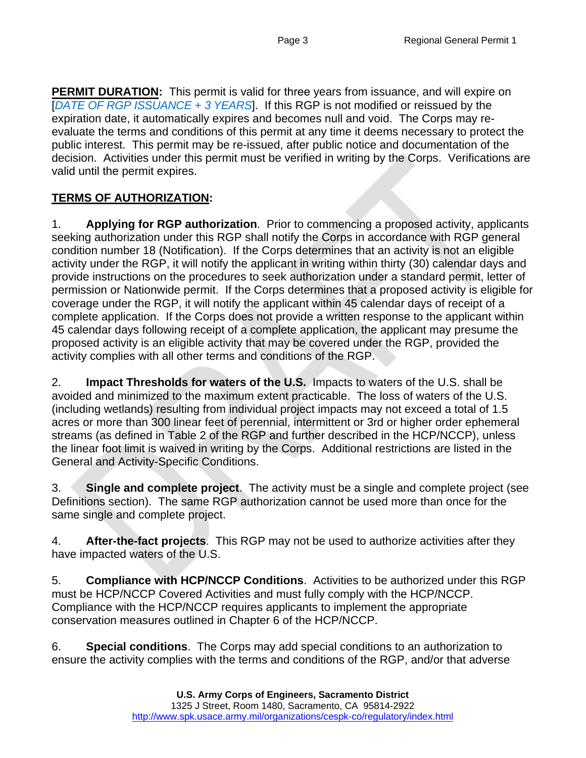**PERMIT DURATION:** This permit is valid for three years from issuance, and will expire on [*DATE OF RGP ISSUANCE + 3 YEARS*]. If this RGP is not modified or reissued by the expiration date, it automatically expires and becomes null and void. The Corps may reevaluate the terms and conditions of this permit at any time it deems necessary to protect the public interest. This permit may be re-issued, after public notice and documentation of the decision. Activities under this permit must be verified in writing by the Corps. Verifications are valid until the permit expires.

## **TERMS OF AUTHORIZATION:**

1. **Applying for RGP authorization**. Prior to commencing a proposed activity, applicants seeking authorization under this RGP shall notify the Corps in accordance with RGP general condition number 18 (Notification). If the Corps determines that an activity is not an eligible activity under the RGP, it will notify the applicant in writing within thirty (30) calendar days and provide instructions on the procedures to seek authorization under a standard permit, letter of permission or Nationwide permit. If the Corps determines that a proposed activity is eligible for coverage under the RGP, it will notify the applicant within 45 calendar days of receipt of a complete application. If the Corps does not provide a written response to the applicant within 45 calendar days following receipt of a complete application, the applicant may presume the proposed activity is an eligible activity that may be covered under the RGP, provided the activity complies with all other terms and conditions of the RGP.

2. **Impact Thresholds for waters of the U.S.** Impacts to waters of the U.S. shall be avoided and minimized to the maximum extent practicable. The loss of waters of the U.S. (including wetlands) resulting from individual project impacts may not exceed a total of 1.5 acres or more than 300 linear feet of perennial, intermittent or 3rd or higher order ephemeral streams (as defined in Table 2 of the RGP and further described in the HCP/NCCP), unless the linear foot limit is waived in writing by the Corps. Additional restrictions are listed in the General and Activity-Specific Conditions.

3. **Single and complete project**. The activity must be a single and complete project (see Definitions section). The same RGP authorization cannot be used more than once for the same single and complete project.

4. **After-the-fact projects**. This RGP may not be used to authorize activities after they have impacted waters of the U.S.

5. **Compliance with HCP/NCCP Conditions**. Activities to be authorized under this RGP must be HCP/NCCP Covered Activities and must fully comply with the HCP/NCCP. Compliance with the HCP/NCCP requires applicants to implement the appropriate conservation measures outlined in Chapter 6 of the HCP/NCCP.

6. **Special conditions**. The Corps may add special conditions to an authorization to ensure the activity complies with the terms and conditions of the RGP, and/or that adverse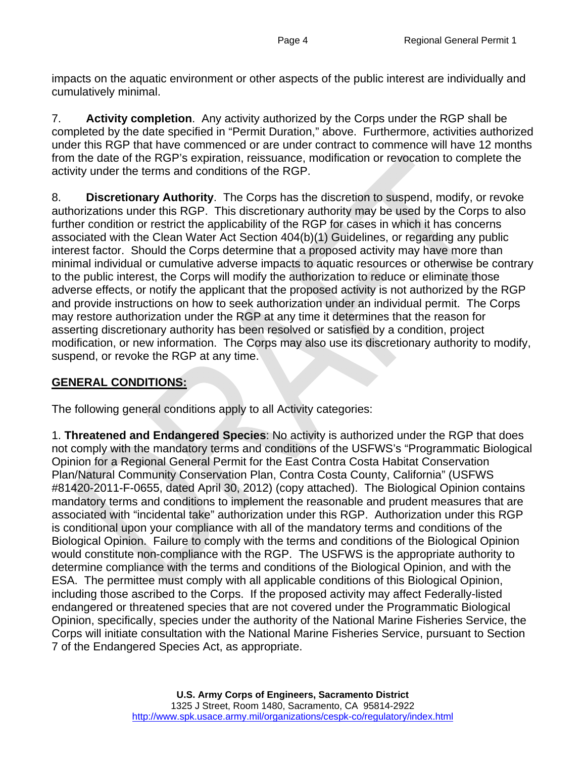impacts on the aquatic environment or other aspects of the public interest are individually and cumulatively minimal.

7. **Activity completion**. Any activity authorized by the Corps under the RGP shall be completed by the date specified in "Permit Duration," above. Furthermore, activities authorized under this RGP that have commenced or are under contract to commence will have 12 months from the date of the RGP's expiration, reissuance, modification or revocation to complete the activity under the terms and conditions of the RGP.

8. **Discretionary Authority**. The Corps has the discretion to suspend, modify, or revoke authorizations under this RGP. This discretionary authority may be used by the Corps to also further condition or restrict the applicability of the RGP for cases in which it has concerns associated with the Clean Water Act Section 404(b)(1) Guidelines, or regarding any public interest factor. Should the Corps determine that a proposed activity may have more than minimal individual or cumulative adverse impacts to aquatic resources or otherwise be contrary to the public interest, the Corps will modify the authorization to reduce or eliminate those adverse effects, or notify the applicant that the proposed activity is not authorized by the RGP and provide instructions on how to seek authorization under an individual permit. The Corps may restore authorization under the RGP at any time it determines that the reason for asserting discretionary authority has been resolved or satisfied by a condition, project modification, or new information. The Corps may also use its discretionary authority to modify, suspend, or revoke the RGP at any time.

### **GENERAL CONDITIONS:**

The following general conditions apply to all Activity categories:

1. **Threatened and Endangered Species**: No activity is authorized under the RGP that does not comply with the mandatory terms and conditions of the USFWS's "Programmatic Biological Opinion for a Regional General Permit for the East Contra Costa Habitat Conservation Plan/Natural Community Conservation Plan, Contra Costa County, California" (USFWS #81420-2011-F-0655, dated April 30, 2012) (copy attached). The Biological Opinion contains mandatory terms and conditions to implement the reasonable and prudent measures that are associated with "incidental take" authorization under this RGP. Authorization under this RGP is conditional upon your compliance with all of the mandatory terms and conditions of the Biological Opinion. Failure to comply with the terms and conditions of the Biological Opinion would constitute non-compliance with the RGP. The USFWS is the appropriate authority to determine compliance with the terms and conditions of the Biological Opinion, and with the ESA. The permittee must comply with all applicable conditions of this Biological Opinion, including those ascribed to the Corps. If the proposed activity may affect Federally-listed endangered or threatened species that are not covered under the Programmatic Biological Opinion, specifically, species under the authority of the National Marine Fisheries Service, the Corps will initiate consultation with the National Marine Fisheries Service, pursuant to Section 7 of the Endangered Species Act, as appropriate.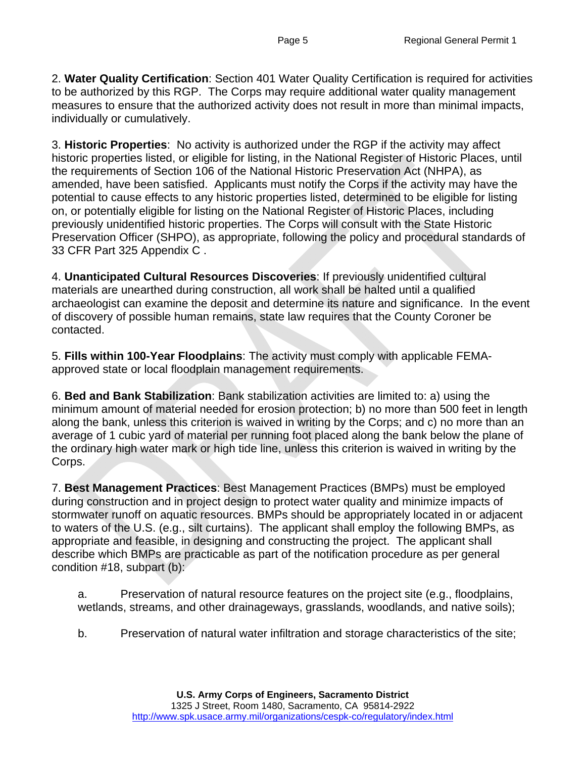2. **Water Quality Certification**: Section 401 Water Quality Certification is required for activities to be authorized by this RGP. The Corps may require additional water quality management measures to ensure that the authorized activity does not result in more than minimal impacts, individually or cumulatively.

3. **Historic Properties**: No activity is authorized under the RGP if the activity may affect historic properties listed, or eligible for listing, in the National Register of Historic Places, until the requirements of Section 106 of the National Historic Preservation Act (NHPA), as amended, have been satisfied. Applicants must notify the Corps if the activity may have the potential to cause effects to any historic properties listed, determined to be eligible for listing on, or potentially eligible for listing on the National Register of Historic Places, including previously unidentified historic properties. The Corps will consult with the State Historic Preservation Officer (SHPO), as appropriate, following the policy and procedural standards of 33 CFR Part 325 Appendix C .

4. **Unanticipated Cultural Resources Discoveries**: If previously unidentified cultural materials are unearthed during construction, all work shall be halted until a qualified archaeologist can examine the deposit and determine its nature and significance. In the event of discovery of possible human remains, state law requires that the County Coroner be contacted.

5. **Fills within 100-Year Floodplains**: The activity must comply with applicable FEMAapproved state or local floodplain management requirements.

6. **Bed and Bank Stabilization**: Bank stabilization activities are limited to: a) using the minimum amount of material needed for erosion protection; b) no more than 500 feet in length along the bank, unless this criterion is waived in writing by the Corps; and c) no more than an average of 1 cubic yard of material per running foot placed along the bank below the plane of the ordinary high water mark or high tide line, unless this criterion is waived in writing by the Corps.

7. **Best Management Practices**: Best Management Practices (BMPs) must be employed during construction and in project design to protect water quality and minimize impacts of stormwater runoff on aquatic resources. BMPs should be appropriately located in or adjacent to waters of the U.S. (e.g., silt curtains). The applicant shall employ the following BMPs, as appropriate and feasible, in designing and constructing the project. The applicant shall describe which BMPs are practicable as part of the notification procedure as per general condition #18, subpart (b):

a. Preservation of natural resource features on the project site (e.g., floodplains, wetlands, streams, and other drainageways, grasslands, woodlands, and native soils);

b. Preservation of natural water infiltration and storage characteristics of the site;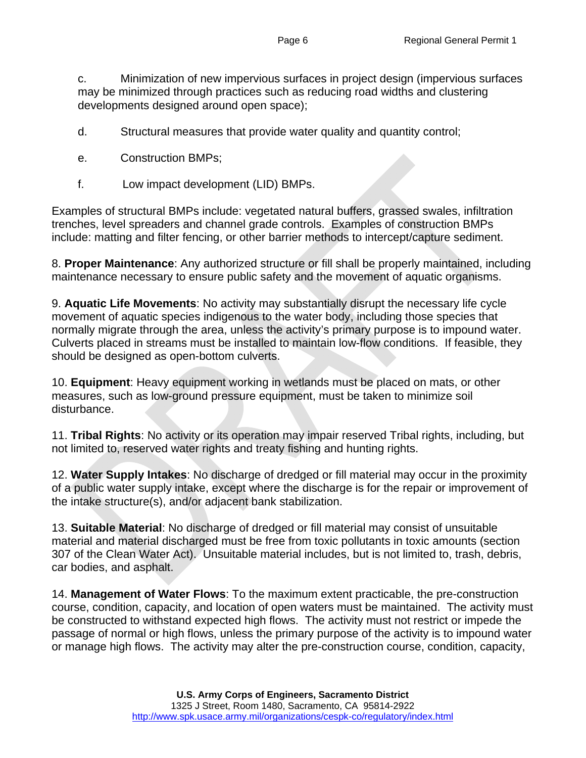c. Minimization of new impervious surfaces in project design (impervious surfaces may be minimized through practices such as reducing road widths and clustering developments designed around open space);

- d. Structural measures that provide water quality and quantity control;
- e. Construction BMPs;
- f. Low impact development (LID) BMPs.

Examples of structural BMPs include: vegetated natural buffers, grassed swales, infiltration trenches, level spreaders and channel grade controls. Examples of construction BMPs include: matting and filter fencing, or other barrier methods to intercept/capture sediment.

8. **Proper Maintenance**: Any authorized structure or fill shall be properly maintained, including maintenance necessary to ensure public safety and the movement of aquatic organisms.

9. **Aquatic Life Movements**: No activity may substantially disrupt the necessary life cycle movement of aquatic species indigenous to the water body, including those species that normally migrate through the area, unless the activity's primary purpose is to impound water. Culverts placed in streams must be installed to maintain low-flow conditions. If feasible, they should be designed as open-bottom culverts.

10. **Equipment**: Heavy equipment working in wetlands must be placed on mats, or other measures, such as low-ground pressure equipment, must be taken to minimize soil disturbance.

11. **Tribal Rights**: No activity or its operation may impair reserved Tribal rights, including, but not limited to, reserved water rights and treaty fishing and hunting rights.

12. **Water Supply Intakes**: No discharge of dredged or fill material may occur in the proximity of a public water supply intake, except where the discharge is for the repair or improvement of the intake structure(s), and/or adjacent bank stabilization.

13. **Suitable Material**: No discharge of dredged or fill material may consist of unsuitable material and material discharged must be free from toxic pollutants in toxic amounts (section 307 of the Clean Water Act). Unsuitable material includes, but is not limited to, trash, debris, car bodies, and asphalt.

14. **Management of Water Flows**: To the maximum extent practicable, the pre-construction course, condition, capacity, and location of open waters must be maintained. The activity must be constructed to withstand expected high flows. The activity must not restrict or impede the passage of normal or high flows, unless the primary purpose of the activity is to impound water or manage high flows. The activity may alter the pre-construction course, condition, capacity,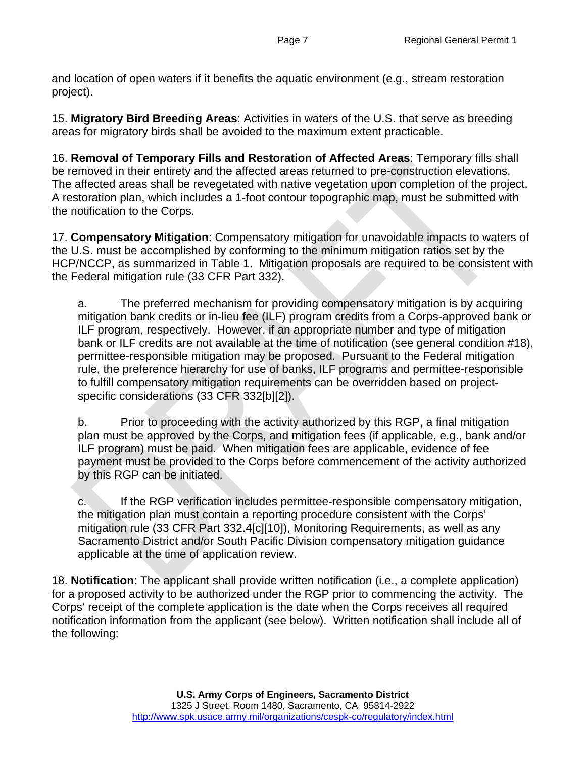and location of open waters if it benefits the aquatic environment (e.g., stream restoration project).

15. **Migratory Bird Breeding Areas**: Activities in waters of the U.S. that serve as breeding areas for migratory birds shall be avoided to the maximum extent practicable.

16. **Removal of Temporary Fills and Restoration of Affected Areas**: Temporary fills shall be removed in their entirety and the affected areas returned to pre-construction elevations. The affected areas shall be revegetated with native vegetation upon completion of the project. A restoration plan, which includes a 1-foot contour topographic map, must be submitted with the notification to the Corps.

17. **Compensatory Mitigation**: Compensatory mitigation for unavoidable impacts to waters of the U.S. must be accomplished by conforming to the minimum mitigation ratios set by the HCP/NCCP, as summarized in Table 1. Mitigation proposals are required to be consistent with the Federal mitigation rule (33 CFR Part 332).

a. The preferred mechanism for providing compensatory mitigation is by acquiring mitigation bank credits or in-lieu fee (ILF) program credits from a Corps-approved bank or ILF program, respectively. However, if an appropriate number and type of mitigation bank or ILF credits are not available at the time of notification (see general condition #18), permittee-responsible mitigation may be proposed. Pursuant to the Federal mitigation rule, the preference hierarchy for use of banks, ILF programs and permittee-responsible to fulfill compensatory mitigation requirements can be overridden based on projectspecific considerations (33 CFR 332[b][2]).

b. Prior to proceeding with the activity authorized by this RGP, a final mitigation plan must be approved by the Corps, and mitigation fees (if applicable, e.g., bank and/or ILF program) must be paid. When mitigation fees are applicable, evidence of fee payment must be provided to the Corps before commencement of the activity authorized by this RGP can be initiated.

c. If the RGP verification includes permittee-responsible compensatory mitigation, the mitigation plan must contain a reporting procedure consistent with the Corps' mitigation rule (33 CFR Part 332.4[c][10]), Monitoring Requirements, as well as any Sacramento District and/or South Pacific Division compensatory mitigation guidance applicable at the time of application review.

18. **Notification**: The applicant shall provide written notification (i.e., a complete application) for a proposed activity to be authorized under the RGP prior to commencing the activity. The Corps' receipt of the complete application is the date when the Corps receives all required notification information from the applicant (see below). Written notification shall include all of the following: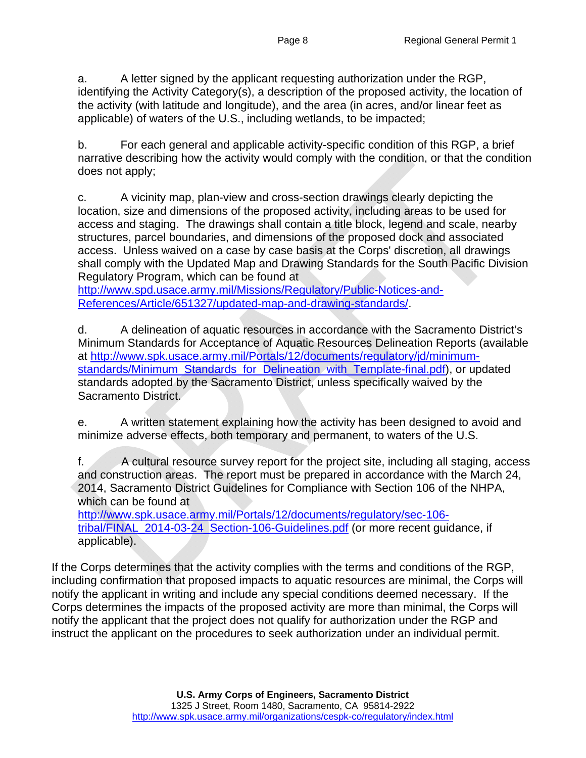a. A letter signed by the applicant requesting authorization under the RGP, identifying the Activity Category(s), a description of the proposed activity, the location of the activity (with latitude and longitude), and the area (in acres, and/or linear feet as applicable) of waters of the U.S., including wetlands, to be impacted;

b. For each general and applicable activity-specific condition of this RGP, a brief narrative describing how the activity would comply with the condition, or that the condition does not apply;

c. A vicinity map, plan-view and cross-section drawings clearly depicting the location, size and dimensions of the proposed activity, including areas to be used for access and staging. The drawings shall contain a title block, legend and scale, nearby structures, parcel boundaries, and dimensions of the proposed dock and associated access. Unless waived on a case by case basis at the Corps' discretion, all drawings shall comply with the Updated Map and Drawing Standards for the South Pacific Division Regulatory Program, which can be found at

http://www.spd.usace.army.mil/Missions/Regulatory/Public-Notices-and-References/Article/651327/updated-map-and-drawing-standards/.

d. A delineation of aquatic resources in accordance with the Sacramento District's Minimum Standards for Acceptance of Aquatic Resources Delineation Reports (available at http://www.spk.usace.army.mil/Portals/12/documents/regulatory/jd/minimumstandards/Minimum\_Standards\_for\_Delineation\_with\_Template-final.pdf), or updated standards adopted by the Sacramento District, unless specifically waived by the Sacramento District.

e. A written statement explaining how the activity has been designed to avoid and minimize adverse effects, both temporary and permanent, to waters of the U.S.

f. A cultural resource survey report for the project site, including all staging, access and construction areas. The report must be prepared in accordance with the March 24, 2014, Sacramento District Guidelines for Compliance with Section 106 of the NHPA, which can be found at

http://www.spk.usace.army.mil/Portals/12/documents/regulatory/sec-106 tribal/FINAL\_2014-03-24\_Section-106-Guidelines.pdf (or more recent guidance, if applicable).

If the Corps determines that the activity complies with the terms and conditions of the RGP, including confirmation that proposed impacts to aquatic resources are minimal, the Corps will notify the applicant in writing and include any special conditions deemed necessary. If the Corps determines the impacts of the proposed activity are more than minimal, the Corps will notify the applicant that the project does not qualify for authorization under the RGP and instruct the applicant on the procedures to seek authorization under an individual permit.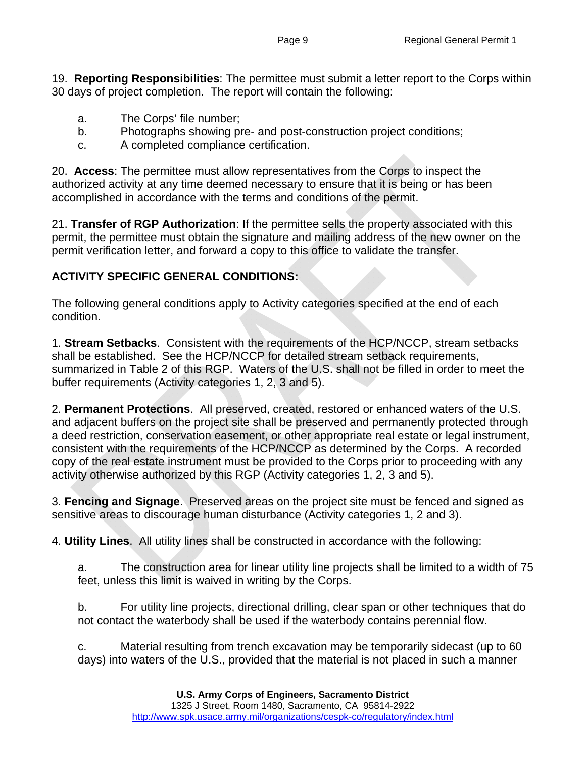19. **Reporting Responsibilities**: The permittee must submit a letter report to the Corps within 30 days of project completion. The report will contain the following:

- a. The Corps' file number;
- b. Photographs showing pre- and post-construction project conditions;
- c. A completed compliance certification.

20. **Access**: The permittee must allow representatives from the Corps to inspect the authorized activity at any time deemed necessary to ensure that it is being or has been accomplished in accordance with the terms and conditions of the permit.

21. **Transfer of RGP Authorization**: If the permittee sells the property associated with this permit, the permittee must obtain the signature and mailing address of the new owner on the permit verification letter, and forward a copy to this office to validate the transfer.

#### **ACTIVITY SPECIFIC GENERAL CONDITIONS:**

The following general conditions apply to Activity categories specified at the end of each condition.

1. **Stream Setbacks**. Consistent with the requirements of the HCP/NCCP, stream setbacks shall be established. See the HCP/NCCP for detailed stream setback requirements, summarized in Table 2 of this RGP. Waters of the U.S. shall not be filled in order to meet the buffer requirements (Activity categories 1, 2, 3 and 5).

2. **Permanent Protections**. All preserved, created, restored or enhanced waters of the U.S. and adjacent buffers on the project site shall be preserved and permanently protected through a deed restriction, conservation easement, or other appropriate real estate or legal instrument, consistent with the requirements of the HCP/NCCP as determined by the Corps. A recorded copy of the real estate instrument must be provided to the Corps prior to proceeding with any activity otherwise authorized by this RGP (Activity categories 1, 2, 3 and 5).

3. **Fencing and Signage**. Preserved areas on the project site must be fenced and signed as sensitive areas to discourage human disturbance (Activity categories 1, 2 and 3).

4. **Utility Lines**. All utility lines shall be constructed in accordance with the following:

a. The construction area for linear utility line projects shall be limited to a width of 75 feet, unless this limit is waived in writing by the Corps.

b. For utility line projects, directional drilling, clear span or other techniques that do not contact the waterbody shall be used if the waterbody contains perennial flow.

c. Material resulting from trench excavation may be temporarily sidecast (up to 60 days) into waters of the U.S., provided that the material is not placed in such a manner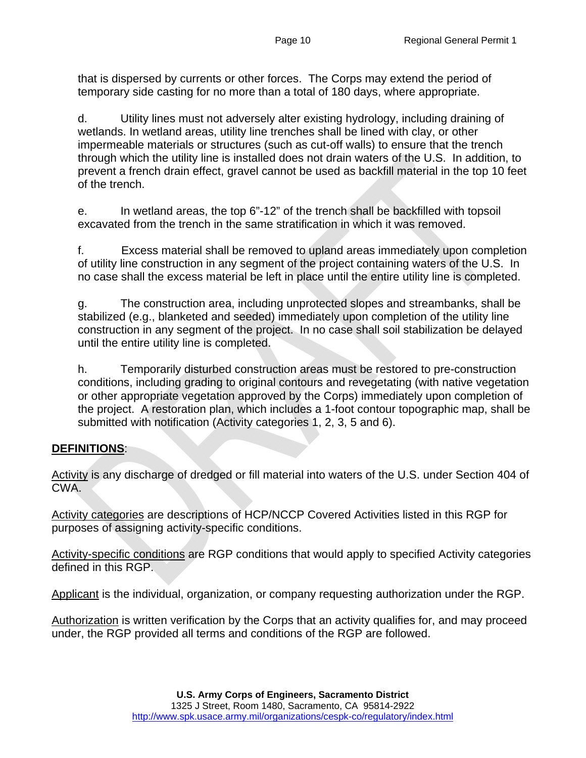that is dispersed by currents or other forces. The Corps may extend the period of temporary side casting for no more than a total of 180 days, where appropriate.

d. Utility lines must not adversely alter existing hydrology, including draining of wetlands. In wetland areas, utility line trenches shall be lined with clay, or other impermeable materials or structures (such as cut-off walls) to ensure that the trench through which the utility line is installed does not drain waters of the U.S. In addition, to prevent a french drain effect, gravel cannot be used as backfill material in the top 10 feet of the trench.

e. In wetland areas, the top 6"-12" of the trench shall be backfilled with topsoil excavated from the trench in the same stratification in which it was removed.

f. Excess material shall be removed to upland areas immediately upon completion of utility line construction in any segment of the project containing waters of the U.S. In no case shall the excess material be left in place until the entire utility line is completed.

g. The construction area, including unprotected slopes and streambanks, shall be stabilized (e.g., blanketed and seeded) immediately upon completion of the utility line construction in any segment of the project. In no case shall soil stabilization be delayed until the entire utility line is completed.

h. Temporarily disturbed construction areas must be restored to pre-construction conditions, including grading to original contours and revegetating (with native vegetation or other appropriate vegetation approved by the Corps) immediately upon completion of the project. A restoration plan, which includes a 1-foot contour topographic map, shall be submitted with notification (Activity categories 1, 2, 3, 5 and 6).

#### **DEFINITIONS**:

Activity is any discharge of dredged or fill material into waters of the U.S. under Section 404 of CWA.

Activity categories are descriptions of HCP/NCCP Covered Activities listed in this RGP for purposes of assigning activity-specific conditions.

Activity-specific conditions are RGP conditions that would apply to specified Activity categories defined in this RGP.

Applicant is the individual, organization, or company requesting authorization under the RGP.

Authorization is written verification by the Corps that an activity qualifies for, and may proceed under, the RGP provided all terms and conditions of the RGP are followed.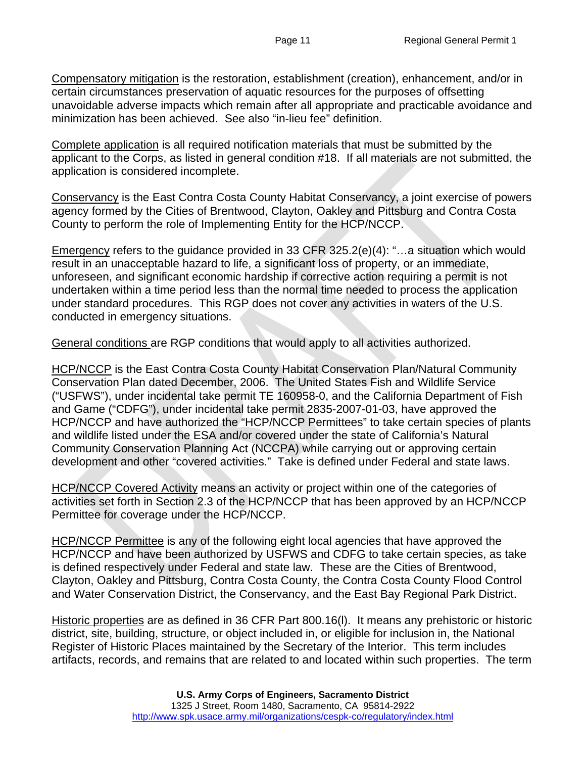Compensatory mitigation is the restoration, establishment (creation), enhancement, and/or in certain circumstances preservation of aquatic resources for the purposes of offsetting unavoidable adverse impacts which remain after all appropriate and practicable avoidance and minimization has been achieved. See also "in-lieu fee" definition.

Complete application is all required notification materials that must be submitted by the applicant to the Corps, as listed in general condition #18. If all materials are not submitted, the application is considered incomplete.

Conservancy is the East Contra Costa County Habitat Conservancy, a joint exercise of powers agency formed by the Cities of Brentwood, Clayton, Oakley and Pittsburg and Contra Costa County to perform the role of Implementing Entity for the HCP/NCCP.

Emergency refers to the guidance provided in 33 CFR 325.2(e)(4): "...a situation which would result in an unacceptable hazard to life, a significant loss of property, or an immediate, unforeseen, and significant economic hardship if corrective action requiring a permit is not undertaken within a time period less than the normal time needed to process the application under standard procedures. This RGP does not cover any activities in waters of the U.S. conducted in emergency situations.

General conditions are RGP conditions that would apply to all activities authorized.

HCP/NCCP is the East Contra Costa County Habitat Conservation Plan/Natural Community Conservation Plan dated December, 2006. The United States Fish and Wildlife Service ("USFWS"), under incidental take permit TE 160958-0, and the California Department of Fish and Game ("CDFG"), under incidental take permit 2835-2007-01-03, have approved the HCP/NCCP and have authorized the "HCP/NCCP Permittees" to take certain species of plants and wildlife listed under the ESA and/or covered under the state of California's Natural Community Conservation Planning Act (NCCPA) while carrying out or approving certain development and other "covered activities." Take is defined under Federal and state laws.

**HCP/NCCP Covered Activity means an activity or project within one of the categories of** activities set forth in Section 2.3 of the HCP/NCCP that has been approved by an HCP/NCCP Permittee for coverage under the HCP/NCCP.

HCP/NCCP Permittee is any of the following eight local agencies that have approved the HCP/NCCP and have been authorized by USFWS and CDFG to take certain species, as take is defined respectively under Federal and state law. These are the Cities of Brentwood, Clayton, Oakley and Pittsburg, Contra Costa County, the Contra Costa County Flood Control and Water Conservation District, the Conservancy, and the East Bay Regional Park District.

Historic properties are as defined in 36 CFR Part 800.16(l). It means any prehistoric or historic district, site, building, structure, or object included in, or eligible for inclusion in, the National Register of Historic Places maintained by the Secretary of the Interior. This term includes artifacts, records, and remains that are related to and located within such properties. The term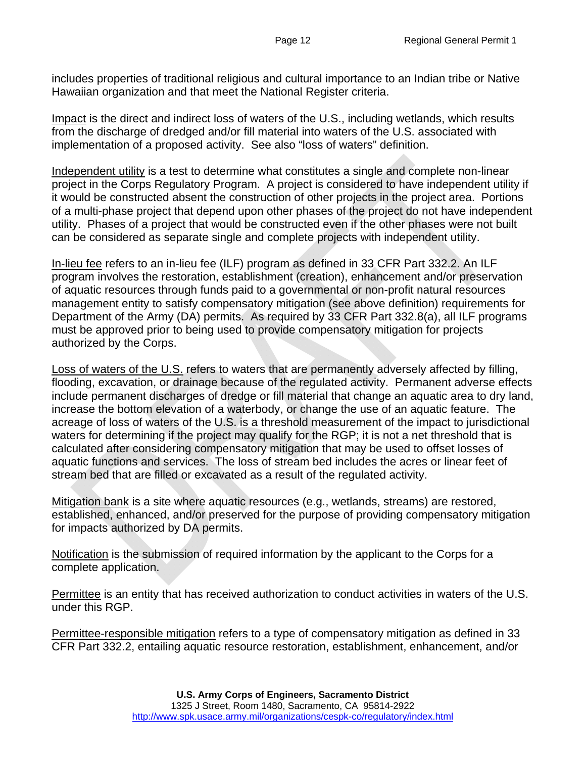includes properties of traditional religious and cultural importance to an Indian tribe or Native Hawaiian organization and that meet the National Register criteria.

Impact is the direct and indirect loss of waters of the U.S., including wetlands, which results from the discharge of dredged and/or fill material into waters of the U.S. associated with implementation of a proposed activity. See also "loss of waters" definition.

Independent utility is a test to determine what constitutes a single and complete non-linear project in the Corps Regulatory Program. A project is considered to have independent utility if it would be constructed absent the construction of other projects in the project area. Portions of a multi-phase project that depend upon other phases of the project do not have independent utility. Phases of a project that would be constructed even if the other phases were not built can be considered as separate single and complete projects with independent utility.

In-lieu fee refers to an in-lieu fee (ILF) program as defined in 33 CFR Part 332.2. An ILF program involves the restoration, establishment (creation), enhancement and/or preservation of aquatic resources through funds paid to a governmental or non-profit natural resources management entity to satisfy compensatory mitigation (see above definition) requirements for Department of the Army (DA) permits. As required by 33 CFR Part 332.8(a), all ILF programs must be approved prior to being used to provide compensatory mitigation for projects authorized by the Corps.

Loss of waters of the U.S. refers to waters that are permanently adversely affected by filling, flooding, excavation, or drainage because of the regulated activity. Permanent adverse effects include permanent discharges of dredge or fill material that change an aquatic area to dry land, increase the bottom elevation of a waterbody, or change the use of an aquatic feature. The acreage of loss of waters of the U.S. is a threshold measurement of the impact to jurisdictional waters for determining if the project may qualify for the RGP; it is not a net threshold that is calculated after considering compensatory mitigation that may be used to offset losses of aquatic functions and services. The loss of stream bed includes the acres or linear feet of stream bed that are filled or excavated as a result of the regulated activity.

Mitigation bank is a site where aquatic resources (e.g., wetlands, streams) are restored, established, enhanced, and/or preserved for the purpose of providing compensatory mitigation for impacts authorized by DA permits.

Notification is the submission of required information by the applicant to the Corps for a complete application.

Permittee is an entity that has received authorization to conduct activities in waters of the U.S. under this RGP.

Permittee-responsible mitigation refers to a type of compensatory mitigation as defined in 33 CFR Part 332.2, entailing aquatic resource restoration, establishment, enhancement, and/or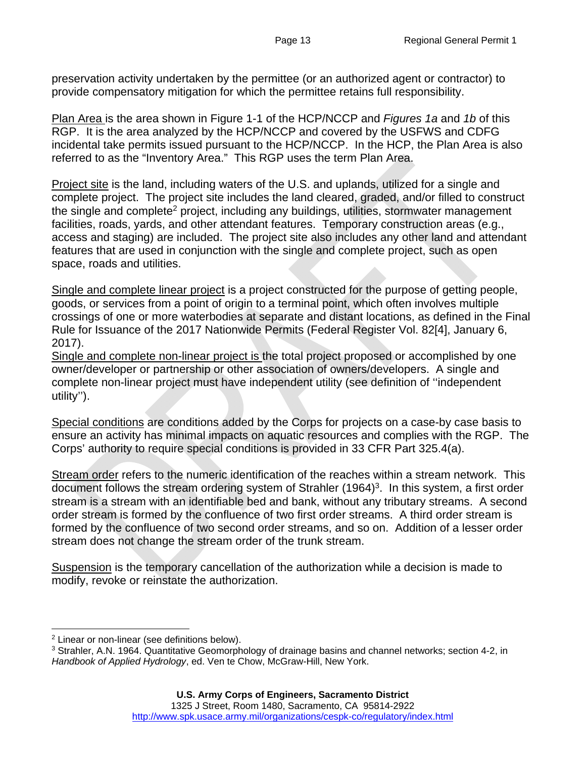preservation activity undertaken by the permittee (or an authorized agent or contractor) to provide compensatory mitigation for which the permittee retains full responsibility.

Plan Area is the area shown in Figure 1-1 of the HCP/NCCP and *Figures 1a* and *1b* of this RGP. It is the area analyzed by the HCP/NCCP and covered by the USFWS and CDFG incidental take permits issued pursuant to the HCP/NCCP. In the HCP, the Plan Area is also referred to as the "Inventory Area." This RGP uses the term Plan Area.

Project site is the land, including waters of the U.S. and uplands, utilized for a single and complete project. The project site includes the land cleared, graded, and/or filled to construct the single and complete<sup>2</sup> project, including any buildings, utilities, stormwater management facilities, roads, yards, and other attendant features. Temporary construction areas (e.g., access and staging) are included. The project site also includes any other land and attendant features that are used in conjunction with the single and complete project, such as open space, roads and utilities.

Single and complete linear project is a project constructed for the purpose of getting people, goods, or services from a point of origin to a terminal point, which often involves multiple crossings of one or more waterbodies at separate and distant locations, as defined in the Final Rule for Issuance of the 2017 Nationwide Permits (Federal Register Vol. 82[4], January 6, 2017).

Single and complete non-linear project is the total project proposed or accomplished by one owner/developer or partnership or other association of owners/developers. A single and complete non-linear project must have independent utility (see definition of ''independent utility'').

Special conditions are conditions added by the Corps for projects on a case-by case basis to ensure an activity has minimal impacts on aquatic resources and complies with the RGP. The Corps' authority to require special conditions is provided in 33 CFR Part 325.4(a).

Stream order refers to the numeric identification of the reaches within a stream network. This document follows the stream ordering system of Strahler (1964)<sup>3</sup>. In this system, a first order stream is a stream with an identifiable bed and bank, without any tributary streams. A second order stream is formed by the confluence of two first order streams. A third order stream is formed by the confluence of two second order streams, and so on. Addition of a lesser order stream does not change the stream order of the trunk stream.

Suspension is the temporary cancellation of the authorization while a decision is made to modify, revoke or reinstate the authorization.

<sup>2</sup> Linear or non-linear (see definitions below).

<sup>&</sup>lt;sup>3</sup> Strahler, A.N. 1964. Quantitative Geomorphology of drainage basins and channel networks; section 4-2, in *Handbook of Applied Hydrology*, ed. Ven te Chow, McGraw-Hill, New York.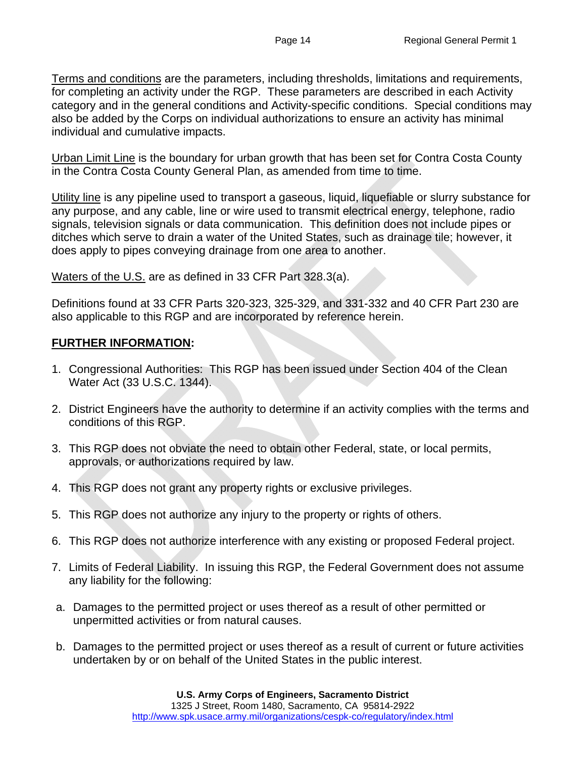Terms and conditions are the parameters, including thresholds, limitations and requirements, for completing an activity under the RGP. These parameters are described in each Activity category and in the general conditions and Activity-specific conditions. Special conditions may also be added by the Corps on individual authorizations to ensure an activity has minimal individual and cumulative impacts.

Urban Limit Line is the boundary for urban growth that has been set for Contra Costa County in the Contra Costa County General Plan, as amended from time to time.

Utility line is any pipeline used to transport a gaseous, liquid, liquefiable or slurry substance for any purpose, and any cable, line or wire used to transmit electrical energy, telephone, radio signals, television signals or data communication. This definition does not include pipes or ditches which serve to drain a water of the United States, such as drainage tile; however, it does apply to pipes conveying drainage from one area to another.

Waters of the U.S. are as defined in 33 CFR Part 328.3(a).

Definitions found at 33 CFR Parts 320-323, 325-329, and 331-332 and 40 CFR Part 230 are also applicable to this RGP and are incorporated by reference herein.

#### **FURTHER INFORMATION:**

- 1. Congressional Authorities: This RGP has been issued under Section 404 of the Clean Water Act (33 U.S.C. 1344).
- 2. District Engineers have the authority to determine if an activity complies with the terms and conditions of this RGP.
- 3. This RGP does not obviate the need to obtain other Federal, state, or local permits, approvals, or authorizations required by law.
- 4. This RGP does not grant any property rights or exclusive privileges.
- 5. This RGP does not authorize any injury to the property or rights of others.
- 6. This RGP does not authorize interference with any existing or proposed Federal project.
- 7. Limits of Federal Liability. In issuing this RGP, the Federal Government does not assume any liability for the following:
- a. Damages to the permitted project or uses thereof as a result of other permitted or unpermitted activities or from natural causes.
- b. Damages to the permitted project or uses thereof as a result of current or future activities undertaken by or on behalf of the United States in the public interest.